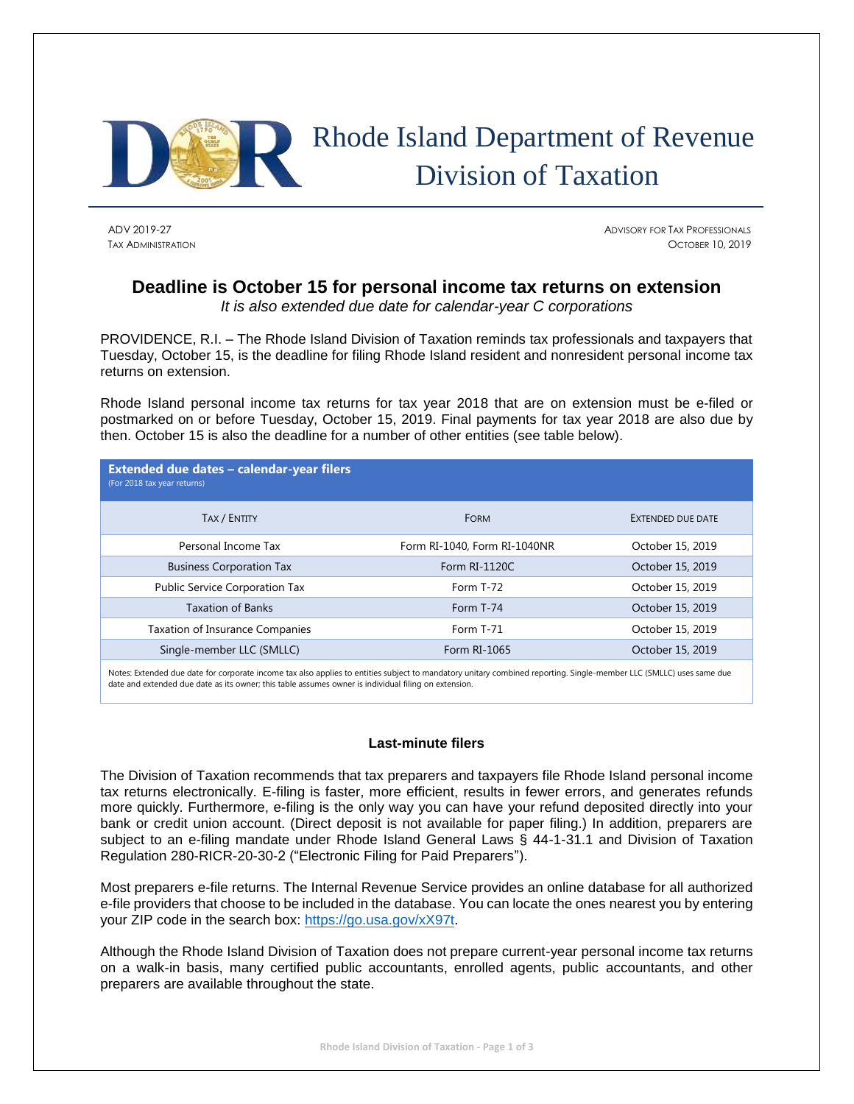

# Rhode Island Department of Revenue Division of Taxation

ADV 2019-27 ADVISORY FOR TAX PROFESSIONALS TAX ADMINISTRATION OCTOBER 10, 2019

# **Deadline is October 15 for personal income tax returns on extension**

*It is also extended due date for calendar-year C corporations*

PROVIDENCE, R.I. – The Rhode Island Division of Taxation reminds tax professionals and taxpayers that Tuesday, October 15, is the deadline for filing Rhode Island resident and nonresident personal income tax returns on extension.

Rhode Island personal income tax returns for tax year 2018 that are on extension must be e-filed or postmarked on or before Tuesday, October 15, 2019. Final payments for tax year 2018 are also due by then. October 15 is also the deadline for a number of other entities (see table below).

| Extended due dates - calendar-year filers<br>(For 2018 tax year returns) |                              |                   |
|--------------------------------------------------------------------------|------------------------------|-------------------|
| TAX / ENTITY                                                             | <b>FORM</b>                  | EXTENDED DUE DATE |
| Personal Income Tax                                                      | Form RI-1040, Form RI-1040NR | October 15, 2019  |
| <b>Business Corporation Tax</b>                                          | Form RI-1120C                | October 15, 2019  |
| Public Service Corporation Tax                                           | Form T-72                    | October 15, 2019  |
| <b>Taxation of Banks</b>                                                 | Form T-74                    | October 15, 2019  |
| <b>Taxation of Insurance Companies</b>                                   | Form T-71                    | October 15, 2019  |
| Single-member LLC (SMLLC)                                                | Form RI-1065                 | October 15, 2019  |

Notes: Extended due date for corporate income tax also applies to entities subject to mandatory unitary combined reporting. Single-member LLC (SMLLC) uses same due date and extended due date as its owner; this table assumes owner is individual filing on extension.

## **Last-minute filers**

The Division of Taxation recommends that tax preparers and taxpayers file Rhode Island personal income tax returns electronically. E-filing is faster, more efficient, results in fewer errors, and generates refunds more quickly. Furthermore, e-filing is the only way you can have your refund deposited directly into your bank or credit union account. (Direct deposit is not available for paper filing.) In addition, preparers are subject to an e-filing mandate under Rhode Island General Laws § 44-1-31.1 and Division of Taxation Regulation 280-RICR-20-30-2 ("Electronic Filing for Paid Preparers").

Most preparers e-file returns. The Internal Revenue Service provides an online database for all authorized e-file providers that choose to be included in the database. You can locate the ones nearest you by entering your ZIP code in the search box: [https://go.usa.gov/xX97t.](https://go.usa.gov/xX97t)

Although the Rhode Island Division of Taxation does not prepare current-year personal income tax returns on a walk-in basis, many certified public accountants, enrolled agents, public accountants, and other preparers are available throughout the state.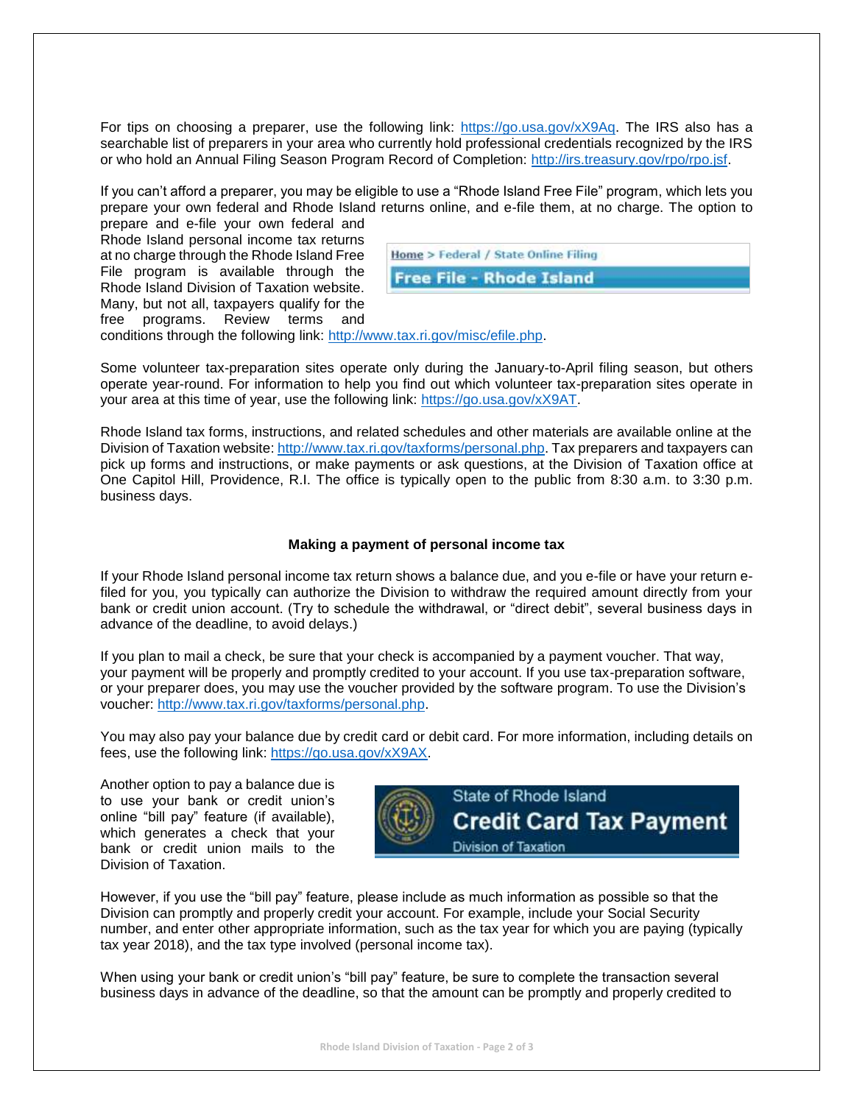For tips on choosing a preparer, use the following link: [https://go.usa.gov/xX9Aq.](https://go.usa.gov/xX9Aq) The IRS also has a searchable list of preparers in your area who currently hold professional credentials recognized by the IRS or who hold an Annual Filing Season Program Record of Completion: [http://irs.treasury.gov/rpo/rpo.jsf.](http://irs.treasury.gov/rpo/rpo.jsf)

If you can't afford a preparer, you may be eligible to use a "Rhode Island Free File" program, which lets you prepare your own federal and Rhode Island returns online, and e-file them, at no charge. The option to prepare and e-file your own federal and

Rhode Island personal income tax returns at no charge through the Rhode Island Free File program is available through the Rhode Island Division of Taxation website. Many, but not all, taxpayers qualify for the free programs. Review terms and

| Home > Federal / State Online Filing |  |
|--------------------------------------|--|
| <b>Free File - Rhode Island</b>      |  |

conditions through the following link: [http://www.tax.ri.gov/misc/efile.php.](http://www.tax.ri.gov/misc/efile.php)

Some volunteer tax-preparation sites operate only during the January-to-April filing season, but others operate year-round. For information to help you find out which volunteer tax-preparation sites operate in your area at this time of year, use the following link: [https://go.usa.gov/xX9AT.](https://go.usa.gov/xX9AT)

Rhode Island tax forms, instructions, and related schedules and other materials are available online at the Division of Taxation website: [http://www.tax.ri.gov/taxforms/personal.php.](http://www.tax.ri.gov/taxforms/personal.php) Tax preparers and taxpayers can pick up forms and instructions, or make payments or ask questions, at the Division of Taxation office at One Capitol Hill, Providence, R.I. The office is typically open to the public from 8:30 a.m. to 3:30 p.m. business days.

#### **Making a payment of personal income tax**

If your Rhode Island personal income tax return shows a balance due, and you e-file or have your return efiled for you, you typically can authorize the Division to withdraw the required amount directly from your bank or credit union account. (Try to schedule the withdrawal, or "direct debit", several business days in advance of the deadline, to avoid delays.)

If you plan to mail a check, be sure that your check is accompanied by a payment voucher. That way, your payment will be properly and promptly credited to your account. If you use tax-preparation software, or your preparer does, you may use the voucher provided by the software program. To use the Division's voucher: [http://www.tax.ri.gov/taxforms/personal.php.](http://www.tax.ri.gov/taxforms/personal.php)

You may also pay your balance due by credit card or debit card. For more information, including details on fees, use the following link: [https://go.usa.gov/xX9AX.](https://go.usa.gov/xX9AX)

Another option to pay a balance due is to use your bank or credit union's online "bill pay" feature (if available), which generates a check that your bank or credit union mails to the Division of Taxation.



However, if you use the "bill pay" feature, please include as much information as possible so that the Division can promptly and properly credit your account. For example, include your Social Security number, and enter other appropriate information, such as the tax year for which you are paying (typically tax year 2018), and the tax type involved (personal income tax).

When using your bank or credit union's "bill pay" feature, be sure to complete the transaction several business days in advance of the deadline, so that the amount can be promptly and properly credited to